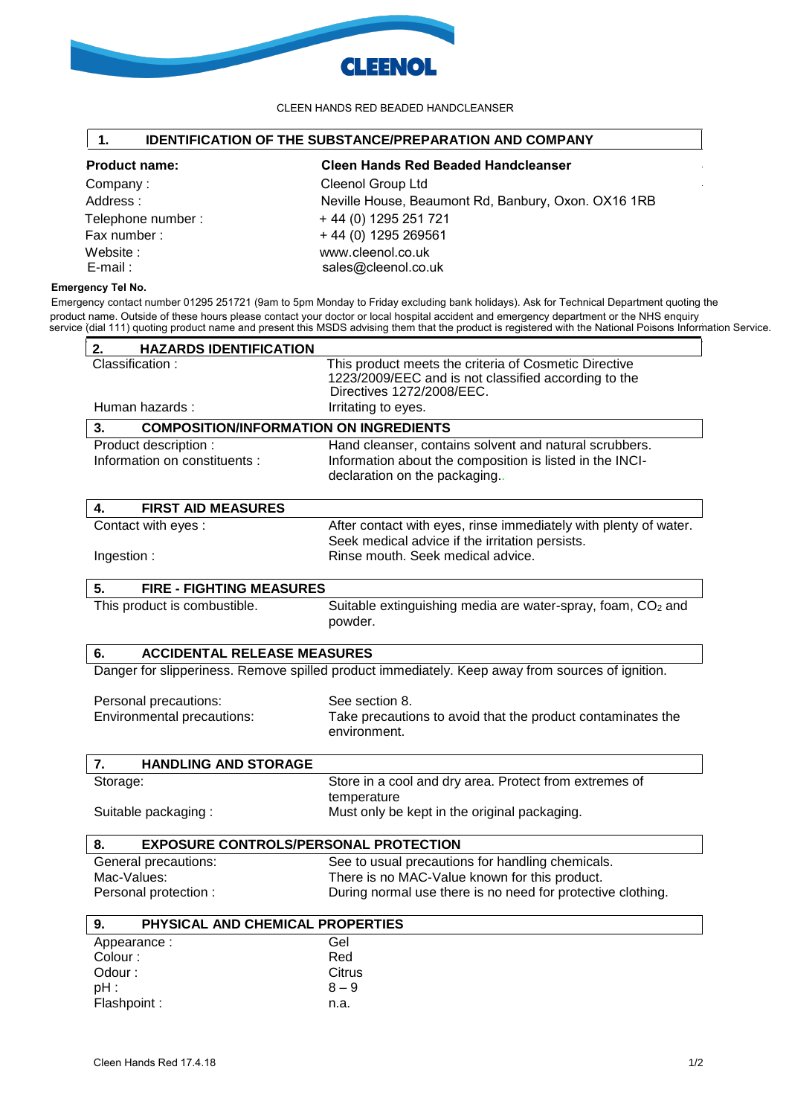

### CLEEN HANDS RED BEADED HANDCLEANSER

# **1. IDENTIFICATION OF THE SUBSTANCE/PREPARATION AND COMPANY**

Website :<br>
E-mail : www.cleenol.co.uk<br>
Sales@cleenol.co.uk<br>
sales@cleenol.co.uk

Company : Cleenol Group Ltd Address : Neville House, Beaumont Rd, Banbury, Oxon. OX16 1RB Telephone number :  $+ 44 (0) 1295 251 721$ Fax number :  $+ 44 (0) 1295 269561$ sales@cleenol.co.uk **Product name: Cleen Hands Red Beaded Handcleanser** 

# **Emergency Tel No.**

Emergency contact number 01295 251721 (9am to 5pm Monday to Friday excluding bank holidays). Ask for Technical Department quoting the product name. Outside of these hours please contact your doctor or local hospital accident and emergency department or the NHS enquiry service (dial 111) quoting product name and present this MSDS advising them that the product is registered with the National Poisons Information Service.

| 2.<br><b>HAZARDS IDENTIFICATION</b>                                                                                        |                                                                                                                                            |
|----------------------------------------------------------------------------------------------------------------------------|--------------------------------------------------------------------------------------------------------------------------------------------|
| Classification:                                                                                                            | This product meets the criteria of Cosmetic Directive<br>1223/2009/EEC and is not classified according to the<br>Directives 1272/2008/EEC. |
| Human hazards:                                                                                                             | Irritating to eyes.                                                                                                                        |
| 3.<br><b>COMPOSITION/INFORMATION ON INGREDIENTS</b>                                                                        |                                                                                                                                            |
| Product description :                                                                                                      | Hand cleanser, contains solvent and natural scrubbers.                                                                                     |
| Information on constituents :                                                                                              | Information about the composition is listed in the INCI-<br>declaration on the packaging.                                                  |
| <b>FIRST AID MEASURES</b><br>4.                                                                                            |                                                                                                                                            |
| Contact with eyes:                                                                                                         | After contact with eyes, rinse immediately with plenty of water.<br>Seek medical advice if the irritation persists.                        |
| Ingestion:                                                                                                                 | Rinse mouth. Seek medical advice.                                                                                                          |
| 5.<br><b>FIRE - FIGHTING MEASURES</b>                                                                                      |                                                                                                                                            |
| This product is combustible.                                                                                               | Suitable extinguishing media are water-spray, foam, CO2 and<br>powder.                                                                     |
| 6.<br><b>ACCIDENTAL RELEASE MEASURES</b>                                                                                   |                                                                                                                                            |
|                                                                                                                            | Danger for slipperiness. Remove spilled product immediately. Keep away from sources of ignition.                                           |
| Personal precautions:                                                                                                      | See section 8.                                                                                                                             |
| Environmental precautions:                                                                                                 | Take precautions to avoid that the product contaminates the                                                                                |
|                                                                                                                            | environment.                                                                                                                               |
| <b>HANDLING AND STORAGE</b><br>7.                                                                                          |                                                                                                                                            |
|                                                                                                                            | Store in a cool and dry area. Protect from extremes of                                                                                     |
| Storage:                                                                                                                   | temperature                                                                                                                                |
|                                                                                                                            | Must only be kept in the original packaging.                                                                                               |
|                                                                                                                            | <b>EXPOSURE CONTROLS/PERSONAL PROTECTION</b>                                                                                               |
|                                                                                                                            | See to usual precautions for handling chemicals.                                                                                           |
|                                                                                                                            | There is no MAC-Value known for this product.                                                                                              |
| General precautions:                                                                                                       | During normal use there is no need for protective clothing.                                                                                |
| PHYSICAL AND CHEMICAL PROPERTIES                                                                                           |                                                                                                                                            |
|                                                                                                                            | Gel                                                                                                                                        |
|                                                                                                                            | Red                                                                                                                                        |
| Odour:                                                                                                                     | Citrus                                                                                                                                     |
| Suitable packaging:<br>8.<br>Mac-Values:<br>Personal protection :<br>9.<br>Appearance:<br>Colour:<br>$pH$ :<br>Flashpoint: | $8 - 9$                                                                                                                                    |